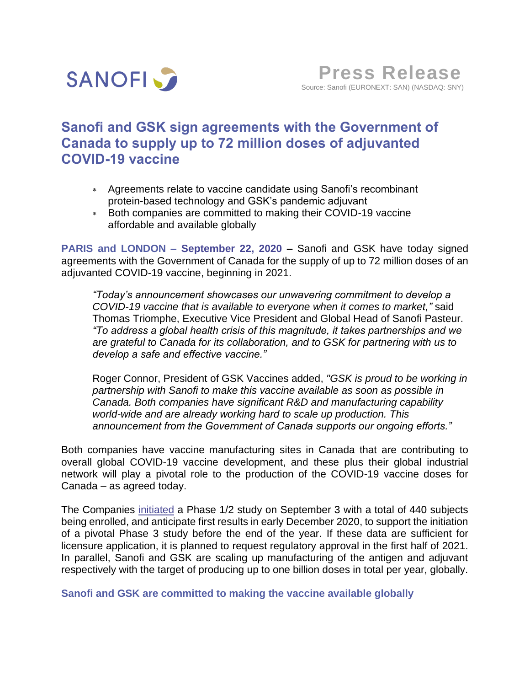

# **Sanofi and GSK sign agreements with the Government of Canada to supply up to 72 million doses of adjuvanted COVID-19 vaccine**

- Agreements relate to vaccine candidate using Sanofi's recombinant protein-based technology and GSK's pandemic adjuvant
- Both companies are committed to making their COVID-19 vaccine affordable and available globally

**PARIS and LONDON – September 22, 2020 –** Sanofi and GSK have today signed agreements with the Government of Canada for the supply of up to 72 million doses of an adjuvanted COVID-19 vaccine, beginning in 2021.

*"Today's announcement showcases our unwavering commitment to develop a COVID-19 vaccine that is available to everyone when it comes to market,"* said Thomas Triomphe, Executive Vice President and Global Head of Sanofi Pasteur. *"To address a global health crisis of this magnitude, it takes partnerships and we are grateful to Canada for its collaboration, and to GSK for partnering with us to develop a safe and effective vaccine."*

Roger Connor, President of GSK Vaccines added, *"GSK is proud to be working in partnership with Sanofi to make this vaccine available as soon as possible in Canada. Both companies have significant R&D and manufacturing capability world-wide and are already working hard to scale up production. This announcement from the Government of Canada supports our ongoing efforts."*

Both companies have vaccine manufacturing sites in Canada that are contributing to overall global COVID-19 vaccine development, and these plus their global industrial network will play a pivotal role to the production of the COVID-19 vaccine doses for Canada – as agreed today.

The Companies [initiated](https://www.sanofi.com/en/media-room/press-releases/2020/2020-09-03-07-00-00) a Phase 1/2 study on September 3 with a total of 440 subjects being enrolled, and anticipate first results in early December 2020, to support the initiation of a pivotal Phase 3 study before the end of the year. If these data are sufficient for licensure application, it is planned to request regulatory approval in the first half of 2021. In parallel, Sanofi and GSK are scaling up manufacturing of the antigen and adjuvant respectively with the target of producing up to one billion doses in total per year, globally.

**Sanofi and GSK are committed to making the vaccine available globally**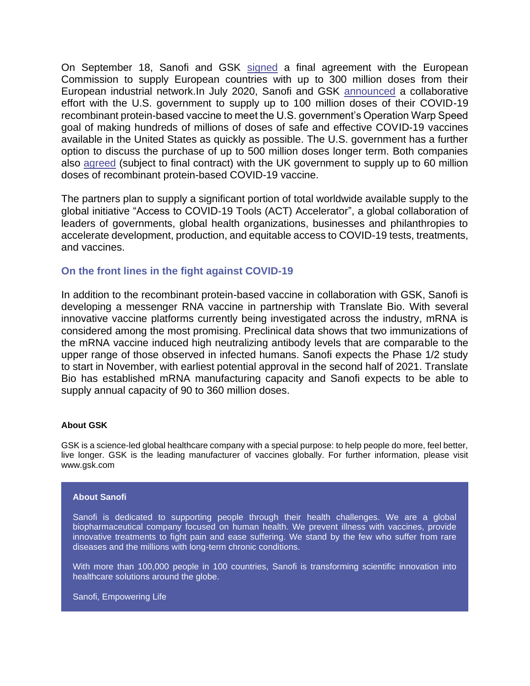On September 18, Sanofi and GSK [signed](https://www.sanofi.com/en/media-room/press-releases/2020/2020-09-18-12-52-46) a final agreement with the European Commission to supply European countries with up to 300 million doses from their European industrial network.In July 2020, Sanofi and GSK [announced](https://www.sanofi.com/en/media-room/press-releases/2020/2020-07-31-13-00-00) a collaborative effort with the U.S. government to supply up to 100 million doses of their COVID-19 recombinant protein-based vaccine to meet the U.S. government's Operation Warp Speed goal of making hundreds of millions of doses of safe and effective COVID-19 vaccines available in the United States as quickly as possible. The U.S. government has a further option to discuss the purchase of up to 500 million doses longer term. Both companies also [agreed](https://www.sanofi.com/en/media-room/press-releases/2020/2020-07-29-07-00-00) (subject to final contract) with the UK government to supply up to 60 million doses of recombinant protein-based COVID-19 vaccine.

The partners plan to supply a significant portion of total worldwide available supply to the global initiative "Access to COVID‐19 Tools (ACT) Accelerator", a global collaboration of leaders of governments, global health organizations, businesses and philanthropies to accelerate development, production, and equitable access to COVID-19 tests, treatments, and vaccines.

## **On the front lines in the fight against COVID-19**

In addition to the recombinant protein-based vaccine in collaboration with GSK, Sanofi is developing a messenger RNA vaccine in partnership with Translate Bio. With several innovative vaccine platforms currently being investigated across the industry, mRNA is considered among the most promising. Preclinical data shows that two immunizations of the mRNA vaccine induced high neutralizing antibody levels that are comparable to the upper range of those observed in infected humans. Sanofi expects the Phase 1/2 study to start in November, with earliest potential approval in the second half of 2021. Translate Bio has established mRNA manufacturing capacity and Sanofi expects to be able to supply annual capacity of 90 to 360 million doses.

### **About GSK**

GSK is a science-led global healthcare company with a special purpose: to help people do more, feel better, live longer. GSK is the leading manufacturer of vaccines globally. For further information, please visit www.gsk.com

#### **About Sanofi**

Sanofi is dedicated to supporting people through their health challenges. We are a global biopharmaceutical company focused on human health. We prevent illness with vaccines, provide innovative treatments to fight pain and ease suffering. We stand by the few who suffer from rare diseases and the millions with long-term chronic conditions.

With more than 100,000 people in 100 countries, Sanofi is transforming scientific innovation into healthcare solutions around the globe.

Sanofi, Empowering Life